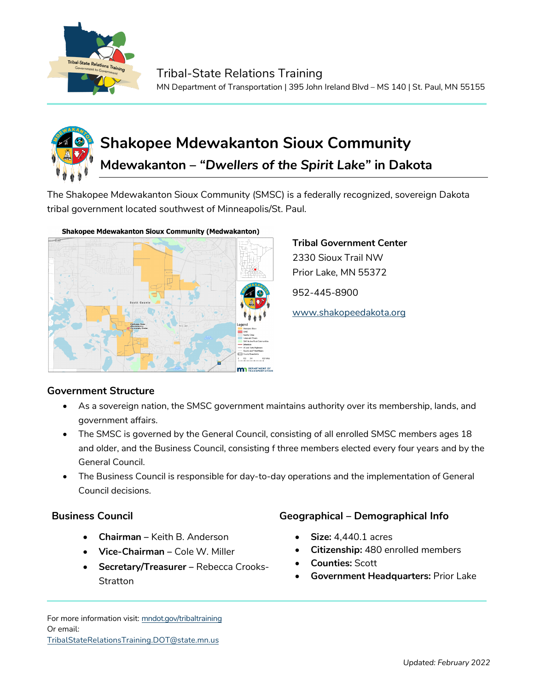

# **Shakopee Mdewakanton Sioux Community Mdewakanton –** *"Dwellers of the Spirit Lake"* **in Dakota**

The Shakopee Mdewakanton Sioux Community (SMSC) is a federally recognized, sovereign Dakota tribal government located southwest of Minneapolis/St. Paul.



#### **Shakopee Mdewakanton Sioux Community (Medwakanton)**

## **Tribal Government Center** 2330 Sioux Trail NW Prior Lake, MN 55372

952-445-8900

[www.shakopeedakota.org](http://www.shakopeedakota.org/)

### **Government Structure**

- As a sovereign nation, the SMSC government maintains authority over its membership, lands, and government affairs.
- The SMSC is governed by the General Council, consisting of all enrolled SMSC members ages 18 and older, and the Business Council, consisting f three members elected every four years and by the General Council.
- The Business Council is responsible for day-to-day operations and the implementation of General Council decisions.

- **Chairman –** Keith B. Anderson
- **Vice-Chairman –** Cole W. Miller
- **Secretary/Treasurer –** Rebecca Crooks-**Stratton**

#### **Business Council Geographical – Demographical Info**

- **Size:** 4,440.1 acres
- **Citizenship:** 480 enrolled members
- **Counties:** Scott
- **Government Headquarters:** Prior Lake